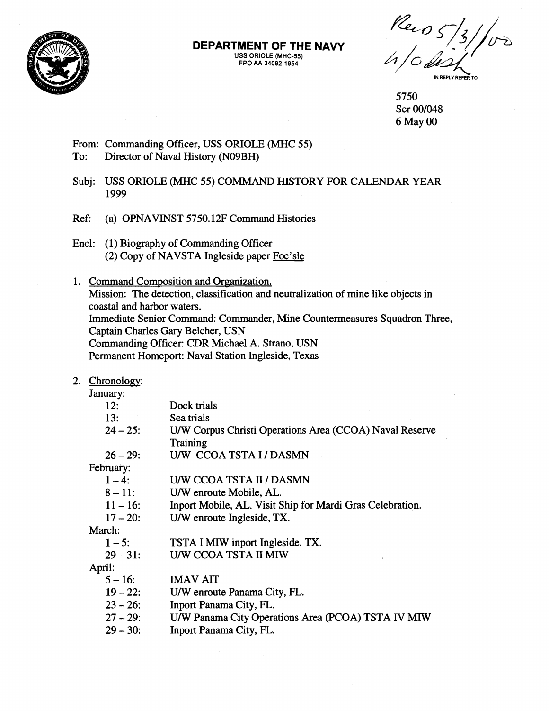

#### **DEPARTMENT OF THE NAVY USS ORIOLE (MHC-55) FPO AA 34092-1 954**

 $\frac{1}{4}$   $\frac{1}{10}$   $\frac{1}{10}$   $\frac{1}{10}$   $\frac{1}{10}$ 

5750 Ser 00/048 6 May 00

# From: Commanding Officer, USS ORIOLE (MHC 55) To: Director of Naval History (N09BH)

Subj: USS ORIOLE (MHC 55) COMMAND HISTORY FOR CALENDAR YEAR 1999

Ref: (a) OPNAVINST 5750.12F Command Histories

- Encl: (1) Biography of Commanding Officer (2) Copy of NAVSTA Ingleside paper Foc'sle
- 1. Command Composition and Organization. Mission: The detection, classification and neutralization of mine like objects in coastal and harbor waters. Immediate Senior Command: Commander, Mine Countermeasures Squadron Three, Captain Charles Gary Belcher, USN Commanding Officer: CDR Michael A. Strano, USN Permanent Homeport: Naval Station Ingleside, Texas

### 2. Chronologv:

January:

| 12:         | Dock trials                                               |
|-------------|-----------------------------------------------------------|
| 13:         | Sea trials                                                |
| $24 - 25$ : | U/W Corpus Christi Operations Area (CCOA) Naval Reserve   |
|             | Training                                                  |
| $26 - 29$ : | U/W CCOA TSTA I / DASMN                                   |
| February:   |                                                           |
| $1 - 4:$    | U/W CCOA TSTA II / DASMN                                  |
| $8 - 11$ :  | U/W enroute Mobile, AL.                                   |
| $11 - 16$ : | Inport Mobile, AL. Visit Ship for Mardi Gras Celebration. |
| $17 - 20$ : | U/W enroute Ingleside, TX.                                |
| March:      |                                                           |
| $1 - 5$ :   | TSTA I MIW inport Ingleside, TX.                          |
| $29 - 31$ : | U/W CCOA TSTA II MIW                                      |
| April:      |                                                           |
| $5 - 16$ :  | <b>IMAV AIT</b>                                           |
| $19 - 22$ : | U/W enroute Panama City, FL.                              |
| $23 - 26$ : | Inport Panama City, FL.                                   |
| $27 - 29$ : | U/W Panama City Operations Area (PCOA) TSTA IV MIW        |
| $29 - 30:$  | Inport Panama City, FL.                                   |
|             |                                                           |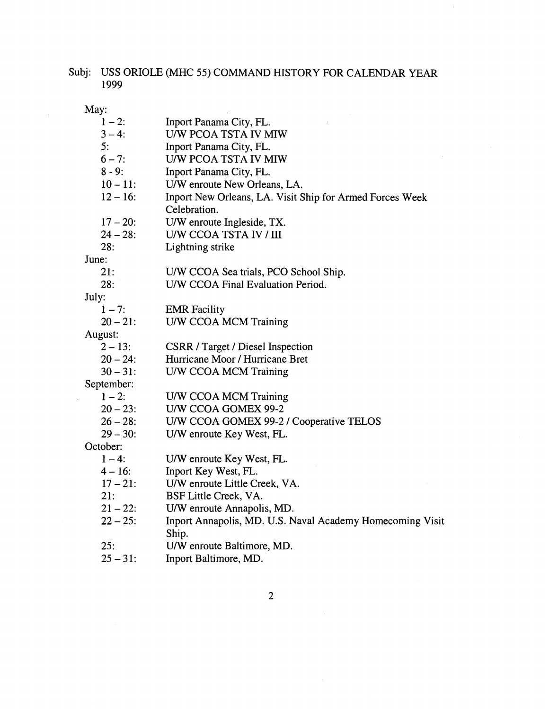# Subj: USS ORIOLE (MHC 55) COMMAND HISTORY FOR CALENDAR YEAR 1999

 $\bar{\mathcal{A}}$ 

May:

| $1 - 2$ :   | Inport Panama City, FL.                                   |
|-------------|-----------------------------------------------------------|
| $3 - 4:$    | U/W PCOA TSTA IV MIW                                      |
| 5:          | Inport Panama City, FL.                                   |
| $6 - 7$ :   | U/W PCOA TSTA IV MIW                                      |
| $8 - 9:$    | Inport Panama City, FL.                                   |
| $10 - 11$ : | U/W enroute New Orleans, LA.                              |
| $12 - 16$ : | Inport New Orleans, LA. Visit Ship for Armed Forces Week  |
|             | Celebration.                                              |
| $17 - 20$ : | U/W enroute Ingleside, TX.                                |
| $24 - 28:$  | U/W CCOA TSTA IV / III                                    |
| 28:         | Lightning strike                                          |
| June:       |                                                           |
| 21:         | U/W CCOA Sea trials, PCO School Ship.                     |
| 28:         | U/W CCOA Final Evaluation Period.                         |
| July:       |                                                           |
| $1 - 7:$    | <b>EMR</b> Facility                                       |
| $20 - 21$ : | U/W CCOA MCM Training                                     |
| August:     |                                                           |
| $2 - 13$ :  | <b>CSRR</b> / Target / Diesel Inspection                  |
| $20 - 24$ : | Hurricane Moor / Hurricane Bret                           |
| $30 - 31$ : | U/W CCOA MCM Training                                     |
| September:  |                                                           |
| $1 - 2$ :   | U/W CCOA MCM Training                                     |
| $20 - 23$ : | U/W CCOA GOMEX 99-2                                       |
| $26 - 28$ : | U/W CCOA GOMEX 99-2 / Cooperative TELOS                   |
| $29 - 30:$  | U/W enroute Key West, FL.                                 |
| October:    |                                                           |
| $1 - 4:$    | U/W enroute Key West, FL.                                 |
| $4 - 16$ :  | Inport Key West, FL.                                      |
| $17 - 21$ : | U/W enroute Little Creek, VA.                             |
| 21:         | BSF Little Creek, VA.                                     |
| $21 - 22$ : | U/W enroute Annapolis, MD.                                |
| $22 - 25$ : | Inport Annapolis, MD. U.S. Naval Academy Homecoming Visit |
|             | Ship.                                                     |
| 25:         | U/W enroute Baltimore, MD.                                |
| $25 - 31$ : | Inport Baltimore, MD.                                     |

 $\overline{2}$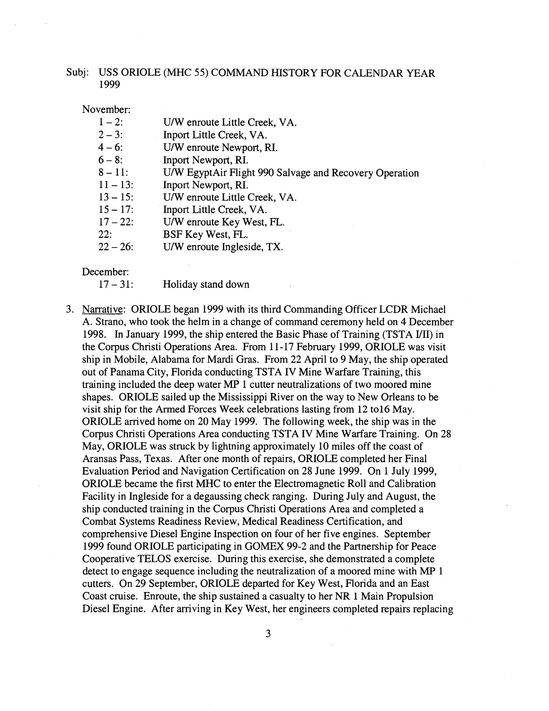## Subj: USS ORIOLE (MHC 55) COMMAND HISTORY FOR CALENDAR YEAR 1999

November:

- $1-2$ : U/W enroute Little Creek, VA.
- $2 3$ : Inport Little Creek, VA.
- $4 6$ : U/W enroute Newport, RI.
- $6 8$ : Inport Newport, RI.
- $8 11$ : U/W EgyptAir Flight 990 Salvage and Recovery Operation
- $11 13$ : Inport Newport, RI.
- $13 15$ : U/W enroute Little Creek, VA.
- $15 17$ : Inport Little Creek, VA.
- $17 22$ : U/W enroute Key West, FL.
- 22: BSF Key West, FL.
- $22 26$ : U/W enroute Ingleside, TX.

December:

- $17 31$ : Holiday stand down
- 3. Narrative: ORIOLE began 1999 with its third Commanding Officer LCDR Michael A. Strano, who took the helm in a change of command ceremony held on 4 December 1998. In January 1999, the ship entered the Basic Phase of Training (TSTA 1/11) in the Corpus Christi Operations Area. From 11-17 February 1999, ORIOLE was visit ship in Mobile, Alabama for Mardi Gras. From 22 April to 9 May, the ship operated out of Panama City, Florida conducting TSTA IV Mine Warfare Training, this training included the deep water MP 1 cutter neutralizations of two moored mine shapes. ORIOLE sailed up the Mississippi River on the way to New Orleans to be visit ship for the Armed Forces Week celebrations lasting from 12 to16 May. ORIOLE arrived home on 20 May 1999. The following week, the ship was in the Corpus Christi Operations Area conducting TSTA IV Mine Warfare Training. On 28 May, ORIOLE was struck by lightning approximately 10 miles off the coast of Aransas Pass, Texas. After one month of repairs, ORIOLE completed her Final Evaluation Period and Navigation Certification on 28 June 1999. On 1 July 1999, ORIOLE became the first MHC to enter the Electromagnetic Roll and Calibration Facility in Ingleside for a degaussing check ranging. During July and August, the ship conducted training in the Corpus Christi Operations Area and completed a Combat Systems Readiness Review, Medical Readiness Certification, and comprehensive Diesel Engine Inspection on four of her five engines. September 1999 found ORIOLE participating in GOMEX 99-2 and the Partnership for Peace Cooperative TELOS exercise. During this exercise, she demonstrated a complete detect to engage sequence including the neutralization of a moored mine with MP 1 cutters. On 29 September, ORIOLE departed for Key West, Florida and an East Coast cruise. Enroute, the ship sustained a casualty to her NR 1 Main Propulsion Diesel Engine. After arriving in Key West, her engineers completed repairs replacing